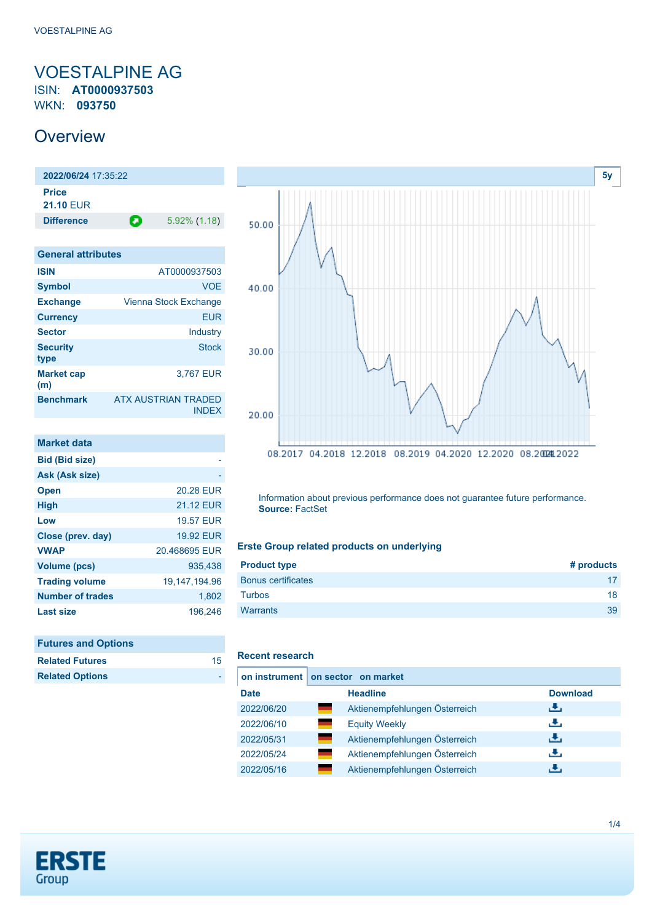### <span id="page-0-0"></span>VOESTALPINE AG ISIN: **AT0000937503** WKN: **093750**

## **Overview**

**2022/06/24** 17:35:22 **Price 21.10** EUR **Difference D** 5.92% (1.18)

| <b>General attributes</b> |                                            |
|---------------------------|--------------------------------------------|
| <b>ISIN</b>               | AT0000937503                               |
| <b>Symbol</b>             | <b>VOE</b>                                 |
| <b>Exchange</b>           | Vienna Stock Exchange                      |
| <b>Currency</b>           | <b>EUR</b>                                 |
| <b>Sector</b>             | Industry                                   |
| <b>Security</b><br>type   | <b>Stock</b>                               |
| <b>Market cap</b><br>(m)  | 3,767 EUR                                  |
| <b>Benchmark</b>          | <b>ATX AUSTRIAN TRADED</b><br><b>INDEX</b> |

| Market data             |                  |
|-------------------------|------------------|
| <b>Bid (Bid size)</b>   |                  |
| Ask (Ask size)          |                  |
| <b>Open</b>             | 20.28 EUR        |
| <b>High</b>             | 21.12 FUR        |
| Low                     | <b>19.57 EUR</b> |
| Close (prev. day)       | 19.92 FUR        |
| <b>VWAP</b>             | 20.468695 EUR    |
| <b>Volume (pcs)</b>     | 935.438          |
| <b>Trading volume</b>   | 19, 147, 194. 96 |
| <b>Number of trades</b> | 1,802            |
| Last size               | 196.246          |

| <b>Futures and Options</b> |    |
|----------------------------|----|
| <b>Related Futures</b>     | 15 |
| <b>Related Options</b>     |    |



Information about previous performance does not guarantee future performance. **Source:** FactSet

### **Erste Group related products on underlying**

| <b>Product type</b>       | # products |
|---------------------------|------------|
| <b>Bonus certificates</b> |            |
| <b>Turbos</b>             | 18         |
| <b>Warrants</b>           | 39         |
|                           |            |

#### **Recent research**

|             | on instrument on sector on market |                 |
|-------------|-----------------------------------|-----------------|
| <b>Date</b> | <b>Headline</b>                   | <b>Download</b> |
| 2022/06/20  | Aktienempfehlungen Österreich     | رنان            |
| 2022/06/10  | an an<br><b>Equity Weekly</b>     | æ,              |
| 2022/05/31  | Aktienempfehlungen Österreich     | 击               |
| 2022/05/24  | Aktienempfehlungen Österreich     | رنان            |
| 2022/05/16  | Aktienempfehlungen Österreich     | J.              |

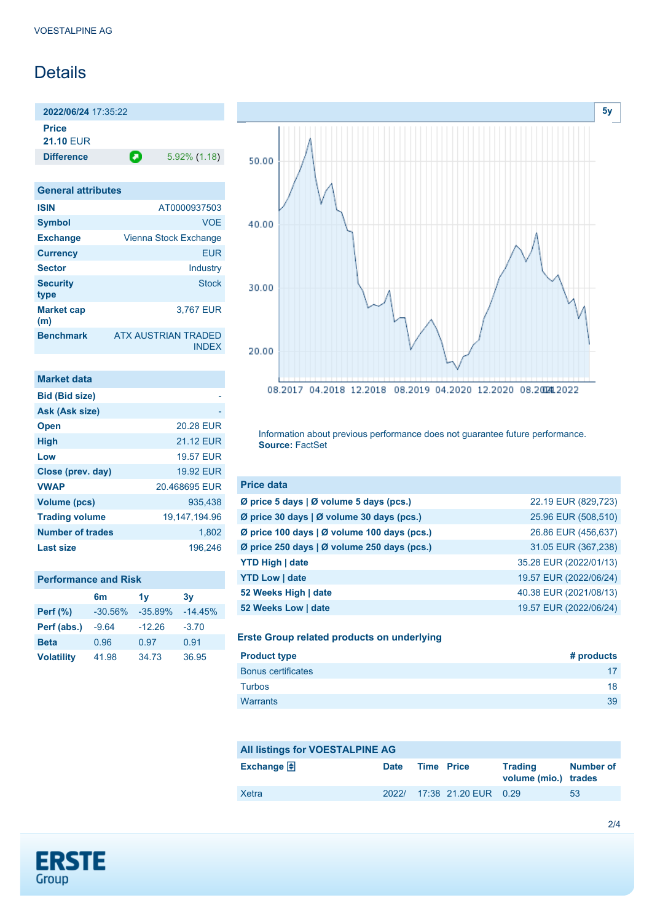## **Details**

**2022/06/24** 17:35:22 **Price**

**21.10** EUR

**Difference** 5.92% (1.18)

| <b>General attributes</b> |                                     |
|---------------------------|-------------------------------------|
| <b>ISIN</b>               | AT0000937503                        |
| <b>Symbol</b>             | <b>VOF</b>                          |
| <b>Exchange</b>           | Vienna Stock Exchange               |
| <b>Currency</b>           | EUR                                 |
| <b>Sector</b>             | Industry                            |
| <b>Security</b><br>type   | Stock                               |
| <b>Market cap</b><br>(m)  | 3.767 EUR                           |
| <b>Benchmark</b>          | ATX AUSTRIAN TRADED<br><b>INDEX</b> |

| <b>Market data</b>      |                  |
|-------------------------|------------------|
| <b>Bid (Bid size)</b>   |                  |
| Ask (Ask size)          |                  |
| <b>Open</b>             | 20.28 EUR        |
| <b>High</b>             | <b>21.12 FUR</b> |
| Low                     | <b>19.57 FUR</b> |
| Close (prev. day)       | <b>19.92 EUR</b> |
| <b>VWAP</b>             | 20.468695 EUR    |
| Volume (pcs)            | 935.438          |
| <b>Trading volume</b>   | 19,147,194.96    |
| <b>Number of trades</b> | 1.802            |
| Last size               | 196.246          |

| <b>Performance and Risk</b> |  |
|-----------------------------|--|
|-----------------------------|--|

|                   | 6m        | 1 <sub>V</sub> | 3v        |
|-------------------|-----------|----------------|-----------|
| <b>Perf</b> (%)   | $-30.56%$ | $-35.89%$      | $-14.45%$ |
| Perf (abs.)       | $-9.64$   | $-12.26$       | $-3.70$   |
| <b>Beta</b>       | 0.96      | 0.97           | 0.91      |
| <b>Volatility</b> | 41.98     | 34.73          | 36.95     |



Information about previous performance does not guarantee future performance. **Source:** FactSet

| <b>Price data</b>                             |                        |
|-----------------------------------------------|------------------------|
| Ø price 5 days $\vert$ Ø volume 5 days (pcs.) | 22.19 EUR (829,723)    |
| Ø price 30 days   Ø volume 30 days (pcs.)     | 25.96 EUR (508,510)    |
| Ø price 100 days   Ø volume 100 days (pcs.)   | 26.86 EUR (456,637)    |
| Ø price 250 days   Ø volume 250 days (pcs.)   | 31.05 EUR (367,238)    |
| <b>YTD High   date</b>                        | 35.28 EUR (2022/01/13) |
| <b>YTD Low   date</b>                         | 19.57 EUR (2022/06/24) |
| 52 Weeks High   date                          | 40.38 EUR (2021/08/13) |
| 52 Weeks Low   date                           | 19.57 EUR (2022/06/24) |

#### **Erste Group related products on underlying**

| <b>Product type</b>       | # products |
|---------------------------|------------|
| <b>Bonus certificates</b> | 17         |
| <b>Turbos</b>             | 18         |
| Warrants                  | 39         |

| All listings for VOESTALPINE AG |             |                   |                            |                                        |                  |
|---------------------------------|-------------|-------------------|----------------------------|----------------------------------------|------------------|
| <b>Exchange</b>                 | <b>Date</b> | <b>Time Price</b> |                            | <b>Trading</b><br>volume (mio.) trades | <b>Number of</b> |
| Xetra                           |             |                   | 2022/ 17:38 21.20 EUR 0.29 |                                        | 53               |

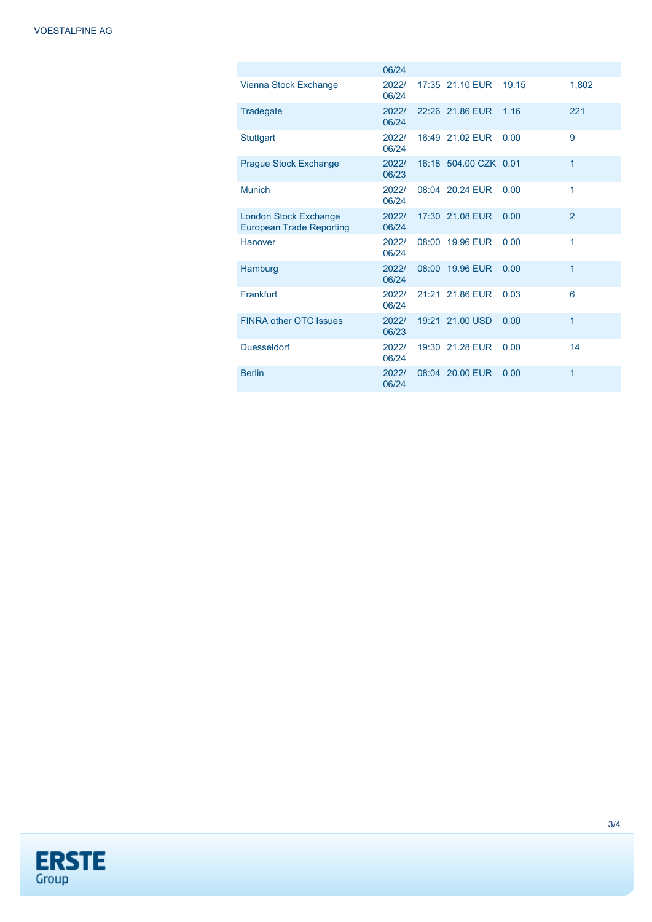|                                                                 | 06/24          |                       |       |              |
|-----------------------------------------------------------------|----------------|-----------------------|-------|--------------|
| Vienna Stock Exchange                                           | 2022/<br>06/24 | 17:35 21.10 EUR       | 19.15 | 1.802        |
| Tradegate                                                       | 2022/<br>06/24 | 22:26 21.86 EUR       | 1.16  | 221          |
| <b>Stuttgart</b>                                                | 2022/<br>06/24 | 16:49 21.02 EUR       | 0.00  | 9            |
| <b>Prague Stock Exchange</b>                                    | 2022/<br>06/23 | 16:18 504.00 CZK 0.01 |       | $\mathbf{1}$ |
| <b>Munich</b>                                                   | 2022/<br>06/24 | 08:04 20.24 EUR       | 0.00  | 1            |
| <b>London Stock Exchange</b><br><b>European Trade Reporting</b> | 2022/<br>06/24 | 17:30 21.08 EUR       | 0.00  | 2            |
| <b>Hanover</b>                                                  | 2022/<br>06/24 | 08:00 19.96 EUR       | 0.00  | 1            |
| Hamburg                                                         | 2022/<br>06/24 | 08:00 19.96 EUR       | 0.00  | 1            |
| Frankfurt                                                       | 2022/<br>06/24 | 21:21 21.86 EUR       | 0.03  | 6            |
| <b>FINRA other OTC Issues</b>                                   | 2022/<br>06/23 | 19:21 21.00 USD       | 0.00  | 1            |
| <b>Duesseldorf</b>                                              | 2022/<br>06/24 | 19:30 21.28 EUR       | 0.00  | 14           |
| <b>Berlin</b>                                                   | 2022/<br>06/24 | 08:04 20.00 EUR       | 0.00  | 1            |